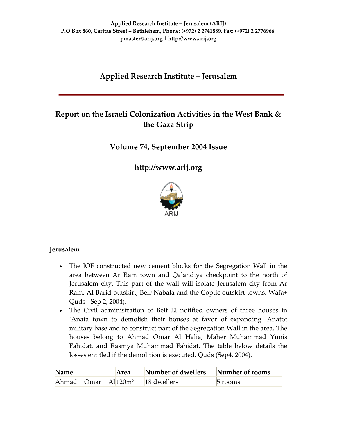# **Applied Research Institute – Jerusalem**

# **Report on the Israeli Colonization Activities in the West Bank & the Gaza Strip**

# **Volume 74, September 2004 Issue**

**[http://www.arij.org](http://www.arij.org/)**



## **Jerusalem**

- The IOF constructed new cement blocks for the Segregation Wall in the area between Ar Ram town and Qalandiya checkpoint to the north of Jerusalem city. This part of the wall will isolate Jerusalem city from Ar Ram, Al Barid outskirt, Beir Nabala and the Coptic outskirt towns. Wafa+ Quds Sep 2, 2004).
- The Civil administration of Beit El notified owners of three houses in 'Anata town to demolish their houses at favor of expanding 'Anatot military base and to construct part of the Segregation Wall in the area. The houses belong to Ahmad Omar Al Halia, Maher Muhammad Yunis Fahidat, and Rasmya Muhammad Fahidat. The table below details the losses entitled if the demolition is executed. Quds (Sep4, 2004).

| Name | Area | Number of dwellers                          | , Number of rooms |
|------|------|---------------------------------------------|-------------------|
|      |      | Ahmad Omar All120m <sup>2</sup> 18 dwellers | $\circ$ rooms     |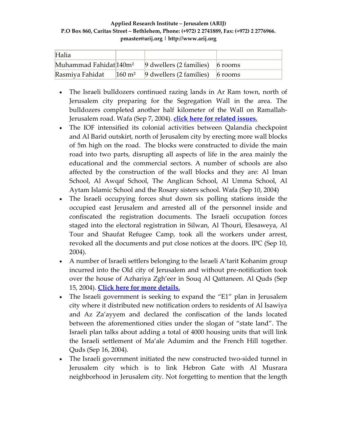| Halia                              |                                                   |  |
|------------------------------------|---------------------------------------------------|--|
| Muhammad Fahidat 140m <sup>2</sup> | 9 dwellers (2 families) $\frac{1}{6}$ rooms       |  |
| Rasmiya Fahidat                    | $160 \text{ m}^2$ 9 dwellers (2 families) 6 rooms |  |

- The Israeli bulldozers continued razing lands in Ar Ram town, north of Jerusalem city preparing for the Segregation Wall in the area. The bulldozers completed another half kilometer of the Wall on Ramallah‐ Jerusalem road. Wafa (Sep 7, 2004). **click here for [related](http://www.poica.org/editor/case_studies/view.php?recordID=426) issues.**
- The IOF intensified its colonial activities between Qalandia checkpoint and Al Barid outskirt, north of Jerusalem city by erecting more wall blocks of 5m high on the road. The blocks were constructed to divide the main road into two parts, disrupting all aspects of life in the area mainly the educational and the commercial sectors. A number of schools are also affected by the construction of the wall blocks and they are: Al Iman School, Al Awqaf School, The Anglican School, Al Umma School, Al Aytam Islamic School and the Rosary sisters school. Wafa (Sep 10, 2004)
- The Israeli occupying forces shut down six polling stations inside the occupied east Jerusalem and arrested all of the personnel inside and confiscated the registration documents. The Israeli occupation forces staged into the electoral registration in Silwan, Al Thouri, Elesaweya, Al Tour and Shaufat Refugee Camp, took all the workers under arrest, revoked all the documents and put close notices at the doors. IPC (Sep 10, 2004).
- A number of Israeli settlers belonging to the Israeli A'tarit Kohanim group incurred into the Old city of Jerusalem and without pre‐notification took over the house of Azhariya Zgh'eer in Souq Al Qattaneen. Al Quds (Sep 15, 2004). **Click here for more [details.](http://www.poica.org/editor/case_studies/view.php?recordID=393)**
- The Israeli government is seeking to expand the "E1" plan in Jerusalem city where it distributed new notification orders to residents of Al Isawiya and Az Za'ayyem and declared the confiscation of the lands located between the aforementioned cities under the slogan of "state land". The Israeli plan talks about adding a total of 4000 housing units that will link the Israeli settlement of Ma'ale Adumim and the French Hill together. Quds (Sep 16, 2004).
- The Israeli government initiated the new constructed two-sided tunnel in Jerusalem city which is to link Hebron Gate with Al Musrara neighborhood in Jerusalem city. Not forgetting to mention that the length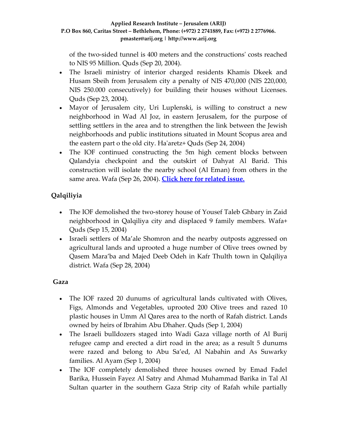of the two‐sided tunnel is 400 meters and the constructionsʹ costs reached to NIS 95 Million. Quds (Sep 20, 2004).

- The Israeli ministry of interior charged residents Khamis Dkeek and Husam Sbeih from Jerusalem city a penalty of NIS 470,000 (NIS 220,000, NIS 250.000 consecutively) for building their houses without Licenses. Quds (Sep 23, 2004).
- Mayor of Jerusalem city, Uri Luplenski, is willing to construct a new neighborhood in Wad Al Joz, in eastern Jerusalem, for the purpose of settling settlers in the area and to strengthen the link between the Jewish neighborhoods and public institutions situated in Mount Scopus area and the eastern part o the old city. Haʹaretz+ Quds (Sep 24, 2004)
- The IOF continued constructing the 5m high cement blocks between Qalandyia checkpoint and the outskirt of Dahyat Al Barid. This construction will isolate the nearby school (Al Eman) from others in the same area. Wafa (Sep 26, 2004). **Click here for [related](http://www.poica.org/editor/case_studies/view.php?recordID=426) issue.**

# **Qalqiliyia**

- The IOF demolished the two-storey house of Yousef Taleb Ghbary in Zaid neighborhood in Qalqiliya city and displaced 9 family members. Wafa+ Quds (Sep 15, 2004)
- Israeli settlers of Ma'ale Shomron and the nearby outposts aggressed on agricultural lands and uprooted a huge number of Olive trees owned by Qasem Mara'ba and Majed Deeb Odeh in Kafr Thulth town in Qalqiliya district. Wafa (Sep 28, 2004)

# **Gaza**

- The IOF razed 20 dunums of agricultural lands cultivated with Olives, Figs, Almonds and Vegetables, uprooted 200 Olive trees and razed 10 plastic houses in Umm Al Qares area to the north of Rafah district. Lands owned by heirs of Ibrahim Abu Dhaher. Quds (Sep 1, 2004)
- The Israeli bulldozers staged into Wadi Gaza village north of Al Burij refugee camp and erected a dirt road in the area; as a result 5 dunums were razed and belong to Abu Sa'ed, Al Nabahin and As Suwarky families. Al Ayam (Sep 1, 2004)
- The IOF completely demolished three houses owned by Emad Fadel Barika, Hussein Fayez Al Satry and Ahmad Muhammad Barika in Tal Al Sultan quarter in the southern Gaza Strip city of Rafah while partially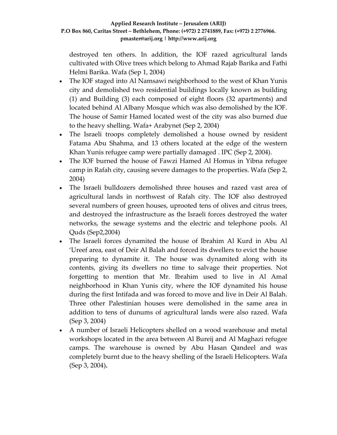destroyed ten others. In addition, the IOF razed agricultural lands cultivated with Olive trees which belong to Ahmad Rajab Barika and Fathi Helmi Barika. Wafa (Sep 1, 2004)

- The IOF staged into Al Namsawi neighborhood to the west of Khan Yunis city and demolished two residential buildings locally known as building (1) and Building (3) each composed of eight floors (32 apartments) and located behind Al Albany Mosque which was also demolished by the IOF. The house of Samir Hamed located west of the city was also burned due to the heavy shelling. Wafa+ Arabynet (Sep 2, 2004)
- The Israeli troops completely demolished a house owned by resident Fatama Abu Shahma, and 13 others located at the edge of the western Khan Yunis refugee camp were partially damaged . IPC (Sep 2, 2004).
- The IOF burned the house of Fawzi Hamed Al Homus in Yibna refugee camp in Rafah city, causing severe damages to the properties. Wafa (Sep 2, 2004)
- The Israeli bulldozers demolished three houses and razed vast area of agricultural lands in northwest of Rafah city. The IOF also destroyed several numbers of green houses, uprooted tens of olives and citrus trees, and destroyed the infrastructure as the Israeli forces destroyed the water networks, the sewage systems and the electric and telephone pools. Al Quds (Sep2,2004)
- The Israeli forces dynamited the house of Ibrahim Al Kurd in Abu Al 'Ureef area, east of Deir Al Balah and forced its dwellers to evict the house preparing to dynamite it. The house was dynamited along with its contents, giving its dwellers no time to salvage their properties. Not forgetting to mention that Mr. Ibrahim used to live in Al Amal neighborhood in Khan Yunis city, where the IOF dynamited his house during the first Intifada and was forced to move and live in Deir Al Balah. Three other Palestinian houses were demolished in the same area in addition to tens of dunums of agricultural lands were also razed. Wafa (Sep 3, 2004)
- A number of Israeli Helicopters shelled on a wood warehouse and metal workshops located in the area between Al Bureij and Al Maghazi refugee camps. The warehouse is owned by Abu Hasan Qandeel and was completely burnt due to the heavy shelling of the Israeli Helicopters. Wafa (Sep 3, 2004)**.**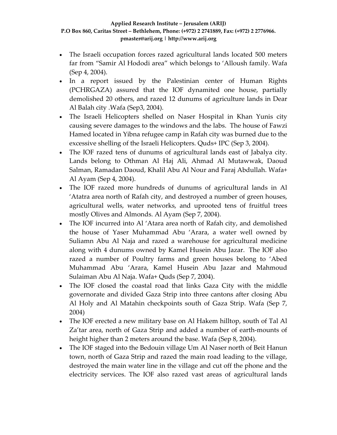- The Israeli occupation forces razed agricultural lands located 500 meters far from "Samir Al Hododi area" which belongs to 'Alloush family. Wafa (Sep 4, 2004).
- In a report issued by the Palestinian center of Human Rights (PCHRGAZA) assured that the IOF dynamited one house, partially demolished 20 others, and razed 12 dunums of agriculture lands in Dear Al Balah city .Wafa (Sep3, 2004).
- The Israeli Helicopters shelled on Naser Hospital in Khan Yunis city causing severe damages to the windows and the labs. The house of Fawzi Hamed located in Yibna refugee camp in Rafah city was burned due to the excessive shelling of the Israeli Helicopters. Quds+ IPC (Sep 3, 2004).
- The IOF razed tens of dunums of agricultural lands east of Jabalya city. Lands belong to Othman Al Haj Ali, Ahmad Al Mutawwak, Daoud Salman, Ramadan Daoud, Khalil Abu Al Nour and Faraj Abdullah. Wafa+ Al Ayam (Sep 4, 2004).
- The IOF razed more hundreds of dunums of agricultural lands in Al 'Atatra area north of Rafah city, and destroyed a number of green houses, agricultural wells, water networks, and uprooted tens of fruitful trees mostly Olives and Almonds. Al Ayam (Sep 7, 2004).
- The IOF incurred into Al 'Atara area north of Rafah city, and demolished the house of Yaser Muhammad Abu 'Arara, a water well owned by Suliamn Abu Al Naja and razed a warehouse for agricultural medicine along with 4 dunums owned by Kamel Husein Abu Jazar. The IOF also razed a number of Poultry farms and green houses belong to 'Abed Muhammad Abu 'Arara, Kamel Husein Abu Jazar and Mahmoud Sulaiman Abu Al Naja. Wafa+ Quds (Sep 7, 2004).
- The IOF closed the coastal road that links Gaza City with the middle governorate and divided Gaza Strip into three cantons after closing Abu Al Holy and Al Matahin checkpoints south of Gaza Strip. Wafa (Sep 7, 2004)
- The IOF erected a new military base on Al Hakem hilltop, south of Tal Al Za'tar area, north of Gaza Strip and added a number of earth‐mounts of height higher than 2 meters around the base. Wafa (Sep 8, 2004).
- The IOF staged into the Bedouin village Um Al Naser north of Beit Hanun town, north of Gaza Strip and razed the main road leading to the village, destroyed the main water line in the village and cut off the phone and the electricity services. The IOF also razed vast areas of agricultural lands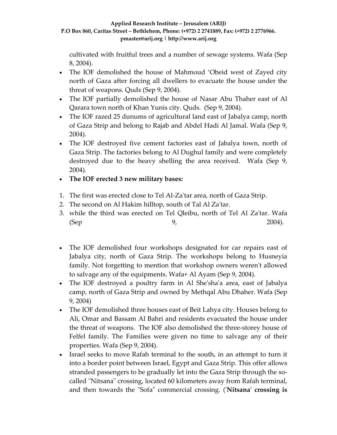cultivated with fruitful trees and a number of sewage systems. Wafa (Sep 8, 2004).

- The IOF demolished the house of Mahmoud 'Obeid west of Zayed city north of Gaza after forcing all dwellers to evacuate the house under the threat of weapons. Quds (Sep 9, 2004).
- The IOF partially demolished the house of Nasar Abu Thaher east of Al Qarara town north of Khan Yunis city. Quds. (Sep 9, 2004).
- The IOF razed 25 dunums of agricultural land east of Jabalya camp, north of Gaza Strip and belong to Rajab and Abdel Hadi Al Jamal. Wafa (Sep 9, 2004).
- The IOF destroyed five cement factories east of Jabalya town, north of Gaza Strip. The factories belong to Al Dughul family and were completely destroyed due to the heavy shelling the area received. Wafa (Sep 9, 2004).
- **The IOF erected 3 new military bases:**
- 1. The first was erected close to Tel Al‐Zaʹtar area, north of Gaza Strip.
- 2. The second on Al Hakim hilltop, south of Tal Al Zaʹtar.
- 3. while the third was erected on Tel Qleibu, north of Tel Al Zaʹtar. Wafa (Sep 2004).
- The IOF demolished four workshops designated for car repairs east of Jabalya city, north of Gaza Strip. The workshops belong to Husneyia family. Not forgetting to mention that workshop owners weren't allowed to salvage any of the equipments. Wafa+ Al Ayam (Sep 9, 2004).
- The IOF destroyed a poultry farm in Al She'sha'a area, east of Jabalya camp, north of Gaza Strip and owned by Methqal Abu Dhaher. Wafa (Sep 9, 2004)
- The IOF demolished three houses east of Beit Lahya city. Houses belong to Ali, Omar and Bassam Al Bahri and residents evacuated the house under the threat of weapons. The IOF also demolished the three‐storey house of Felfel family. The Families were given no time to salvage any of their properties. Wafa (Sep 9, 2004).
- Israel seeks to move Rafah terminal to the south, in an attempt to turn it into a border point between Israel, Egypt and Gaza Strip. This offer allows stranded passengers to be gradually let into the Gaza Strip through the so‐ called ʺNitsanaʺ crossing, located 60 kilometers away from Rafah terminal, and then towards the ʺSofaʺ commercial crossing. (ʹ**Nitsanaʹ crossing is**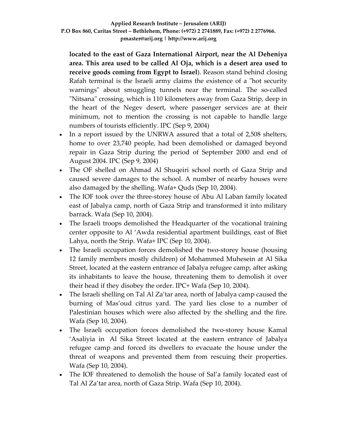**located to the east of Gaza International Airport, near the Al Deheniya area. This area used to be called Al Oja, which is a desert area used to receive goods coming from Egypt to Israel**). Reason stand behind closing Rafah terminal is the Israeli army claims the existence of a "hot security warnings" about smuggling tunnels near the terminal. The so-called "Nitsana" crossing, which is 110 kilometers away from Gaza Strip, deep in the heart of the Negev desert, where passenger services are at their minimum, not to mention the crossing is not capable to handle large numbers of tourists efficiently. IPC (Sep 9, 2004)

- In a report issued by the UNRWA assured that a total of 2,508 shelters, home to over 23,740 people, had been demolished or damaged beyond repair in Gaza Strip during the period of September 2000 and end of August 2004. IPC (Sep 9, 2004)
- The OF shelled on Ahmad Al Shuqeiri school north of Gaza Strip and caused severe damages to the school. A number of nearby houses were also damaged by the shelling. Wafa+ Quds (Sep 10, 2004).
- The IOF took over the three-storey house of Abu Al Laban family located east of Jabalya camp, north of Gaza Strip and transformed it into military barrack. Wafa (Sep 10, 2004).
- The Israeli troops demolished the Headquarter of the vocational training center opposite to Al 'Awda residential apartment buildings, east of Biet Lahya, north the Strip. Wafa+ IPC (Sep 10, 2004).
- The Israeli occupation forces demolished the two-storey house (housing 12 family members mostly children) of Mohammed Muhesein at Al Sika Street, located at the eastern entrance of Jabalya refugee camp, after asking its inhabitants to leave the house, threatening them to demolish it over their head if they disobey the order. IPC+ Wafa (Sep 10, 2004).
- The Israeli shelling on Tal Al Za'tar area, north of Jabalya camp caused the burning of Mas'oud citrus yard. The yard lies close to a number of Palestinian houses which were also affected by the shelling and the fire. Wafa (Sep 10, 2004).
- The Israeli occupation forces demolished the two‐storey house Kamal 'Asaliyia in Al Sika Street located at the eastern entrance of Jabalya refugee camp and forced its dwellers to evacuate the house under the threat of weapons and prevented them from rescuing their properties. Wafa (Sep 10, 2004).
- The IOF threatened to demolish the house of Sal'a family located east of Tal Al Za'tar area, north of Gaza Strip. Wafa (Sep 10, 2004).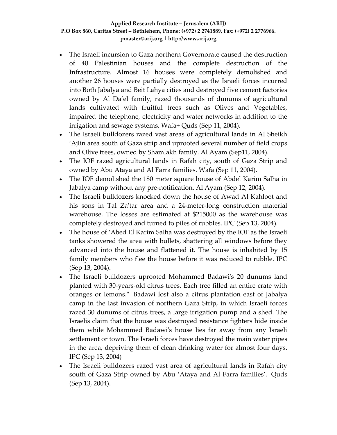- The Israeli incursion to Gaza northern Governorate caused the destruction of 40 Palestinian houses and the complete destruction of the Infrastructure. Almost 16 houses were completely demolished and another 26 houses were partially destroyed as the Israeli forces incurred into Both Jabalya and Beit Lahya cities and destroyed five cement factories owned by Al Da'el family, razed thousands of dunums of agricultural lands cultivated with fruitful trees such as Olives and Vegetables, impaired the telephone, electricity and water networks in addition to the irrigation and sewage systems. Wafa+ Quds (Sep 11, 2004).
- The Israeli bulldozers razed vast areas of agricultural lands in Al Sheikh 'Ajlin area south of Gaza strip and uprooted several number of field crops and Olive trees, owned by Shamlakh family. Al Ayam (Sep11, 2004).
- The IOF razed agricultural lands in Rafah city, south of Gaza Strip and owned by Abu Ataya and Al Farra families. Wafa (Sep 11, 2004).
- The IOF demolished the 180 meter square house of Abdel Karim Salha in Jabalya camp without any pre‐notification. Al Ayam (Sep 12, 2004).
- The Israeli bulldozers knocked down the house of Awad Al Kahloot and his sons in Tal Za'tar area and a 24-meter-long construction material warehouse. The losses are estimated at \$215000 as the warehouse was completely destroyed and turned to piles of rubbles. IPC (Sep 13, 2004).
- The house of 'Abed El Karim Salha was destroyed by the IOF as the Israeli tanks showered the area with bullets, shattering all windows before they advanced into the house and flattened it. The house is inhabited by 15 family members who flee the house before it was reduced to rubble. IPC (Sep 13, 2004).
- The Israeli bulldozers uprooted Mohammed Badawi's 20 dunums land planted with 30‐years‐old citrus trees. Each tree filled an entire crate with oranges or lemons." Badawi lost also a citrus plantation east of Jabalya camp in the last invasion of northern Gaza Strip, in which Israeli forces razed 30 dunums of citrus trees, a large irrigation pump and a shed. The Israelis claim that the house was destroyed resistance fighters hide inside them while Mohammed Badawiʹs house lies far away from any Israeli settlement or town. The Israeli forces have destroyed the main water pipes in the area, depriving them of clean drinking water for almost four days. IPC (Sep 13, 2004)
- The Israeli bulldozers razed vast area of agricultural lands in Rafah city south of Gaza Strip owned by Abu 'Ataya and Al Farra families'. Quds (Sep 13, 2004).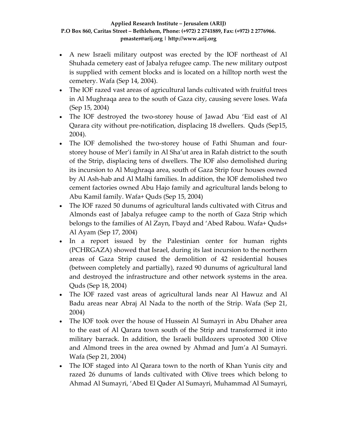- A new Israeli military outpost was erected by the IOF northeast of Al Shuhada cemetery east of Jabalya refugee camp. The new military outpost is supplied with cement blocks and is located on a hilltop north west the cemetery. Wafa (Sep 14, 2004).
- The IOF razed vast areas of agricultural lands cultivated with fruitful trees in Al Mughraqa area to the south of Gaza city, causing severe loses. Wafa (Sep 15, 2004)
- The IOF destroyed the two-storey house of Jawad Abu 'Eid east of Al Qarara city without pre‐notification, displacing 18 dwellers. Quds (Sep15, 2004).
- The IOF demolished the two-storey house of Fathi Shuman and fourstorey house of Mer'i family in Al Sha'ut area in Rafah district to the south of the Strip, displacing tens of dwellers. The IOF also demolished during its incursion to Al Mughraqa area, south of Gaza Strip four houses owned by Al Ash‐hab and Al Malhi families. In addition, the IOF demolished two cement factories owned Abu Hajo family and agricultural lands belong to Abu Kamil family. Wafa+ Quds (Sep 15, 2004)
- The IOF razed 50 dunums of agricultural lands cultivated with Citrus and Almonds east of Jabalya refugee camp to the north of Gaza Strip which belongs to the families of Al Zayn, I'bayd and 'Abed Rabou. Wafa+ Quds+ Al Ayam (Sep 17, 2004)
- In a report issued by the Palestinian center for human rights (PCHRGAZA) showed that Israel, during its last incursion to the northern areas of Gaza Strip caused the demolition of 42 residential houses (between completely and partially), razed 90 dunums of agricultural land and destroyed the infrastructure and other network systems in the area. Quds (Sep 18, 2004)
- The IOF razed vast areas of agricultural lands near Al Hawuz and Al Badu areas near Abraj Al Nada to the north of the Strip. Wafa (Sep 21, 2004)
- The IOF took over the house of Hussein Al Sumayri in Abu Dhaher area to the east of Al Qarara town south of the Strip and transformed it into military barrack. In addition, the Israeli bulldozers uprooted 300 Olive and Almond trees in the area owned by Ahmad and Jum'a Al Sumayri. Wafa (Sep 21, 2004)
- The IOF staged into Al Qarara town to the north of Khan Yunis city and razed 26 dunums of lands cultivated with Olive trees which belong to Ahmad Al Sumayri, 'Abed El Qader Al Sumayri, Muhammad Al Sumayri,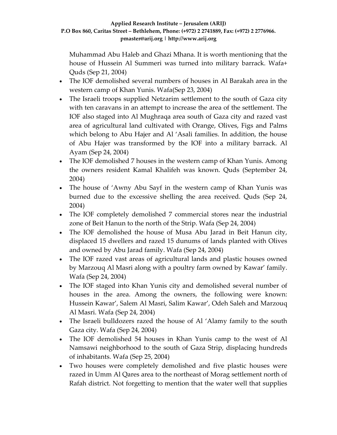Muhammad Abu Haleb and Ghazi Mhana. It is worth mentioning that the house of Hussein Al Summeri was turned into military barrack. Wafa+ Quds (Sep 21, 2004)

- The IOF demolished several numbers of houses in Al Barakah area in the western camp of Khan Yunis. Wafa(Sep 23, 2004)
- The Israeli troops supplied Netzarim settlement to the south of Gaza city with ten caravans in an attempt to increase the area of the settlement. The IOF also staged into Al Mughraqa area south of Gaza city and razed vast area of agricultural land cultivated with Orange, Olives, Figs and Palms which belong to Abu Hajer and Al 'Asali families. In addition, the house of Abu Hajer was transformed by the IOF into a military barrack. Al Ayam (Sep 24, 2004)
- The IOF demolished 7 houses in the western camp of Khan Yunis. Among the owners resident Kamal Khalifeh was known. Quds (September 24, 2004)
- The house of 'Awny Abu Sayf in the western camp of Khan Yunis was burned due to the excessive shelling the area received. Quds (Sep 24, 2004)
- The IOF completely demolished 7 commercial stores near the industrial zone of Beit Hanun to the north of the Strip. Wafa (Sep 24, 2004)
- The IOF demolished the house of Musa Abu Jarad in Beit Hanun city, displaced 15 dwellers and razed 15 dunums of lands planted with Olives and owned by Abu Jarad family. Wafa (Sep 24, 2004)
- The IOF razed vast areas of agricultural lands and plastic houses owned by Marzouq Al Masri along with a poultry farm owned by Kawar' family. Wafa (Sep 24, 2004)
- The IOF staged into Khan Yunis city and demolished several number of houses in the area. Among the owners, the following were known: Hussein Kawar', Salem Al Masri, Salim Kawar', Odeh Saleh and Marzouq Al Masri. Wafa (Sep 24, 2004)
- The Israeli bulldozers razed the house of Al 'Alamy family to the south Gaza city. Wafa (Sep 24, 2004)
- The IOF demolished 54 houses in Khan Yunis camp to the west of Al Namsawi neighborhood to the south of Gaza Strip, displacing hundreds of inhabitants. Wafa (Sep 25, 2004)
- Two houses were completely demolished and five plastic houses were razed in Umm Al Qares area to the northeast of Morag settlement north of Rafah district. Not forgetting to mention that the water well that supplies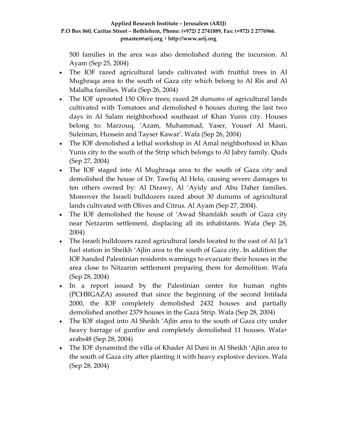500 families in the area was also demolished during the incursion. Al Ayam (Sep 25, 2004)

- The IOF razed agricultural lands cultivated with fruitful trees in Al Mughraqa area to the south of Gaza city which belong to Al Ris and Al Malalha families. Wafa (Sep 26, 2004)
- The IOF uprooted 150 Olive trees; razed 28 dunums of agricultural lands cultivated with Tomatoes and demolished 6 houses during the last two days in Al Salam neighborhood southeast of Khan Yunis city. Houses belong to: Marzouq, 'Azam, Muhammad, Yaser, Yousef Al Masri, Suleiman, Hussein and Tayser Kawar'. Wafa (Sep 26, 2004)
- The IOF demolished a lethal workshop in Al Amal neighborhood in Khan Yunis city to the south of the Strip which belongs to Al Jabry family. Quds (Sep 27, 2004)
- The IOF staged into Al Mughraqa area to the south of Gaza city and demolished the house of Dr. Tawfiq Al Helo, causing severe damages to ten others owned by: Al Dirawy, Al 'Ayidy and Abu Daher families. Moreover the Israeli bulldozers razed about 30 dunums of agricultural lands cultivated with Olives and Citrus. Al Ayam (Sep 27, 2004).
- The IOF demolished the house of 'Awad Shamlakh south of Gaza city near Netzarim settlement, displacing all its inhabitants. Wafa (Sep 28, 2004)
- The Israeli bulldozers razed agricultural lands located to the east of Al Ja'l fuel station in Sheikh 'Ajlin area to the south of Gaza city. In addition the IOF handed Palestinian residents warnings to evacuate their houses in the area close to Nitzarim settlement preparing them for demolition. Wafa (Sep 28, 2004)
- In a report issued by the Palestinian center for human rights (PCHRGAZA) assured that since the beginning of the second Intifada 2000, the IOF completely demolished 2432 houses and partially demolished another 2379 houses in the Gaza Strip. Wafa (Sep 28, 2004)
- The IOF staged into Al Sheikh 'Ajlin area to the south of Gaza city under heavy barrage of gunfire and completely demolished 11 houses. Wafa+ arabs48 (Sep 28, 2004)
- The IOF dynamited the villa of Khader Al Dani in Al Sheikh 'Ajlin area to the south of Gaza city after planting it with heavy explosive devices. Wafa (Sep 28, 2004)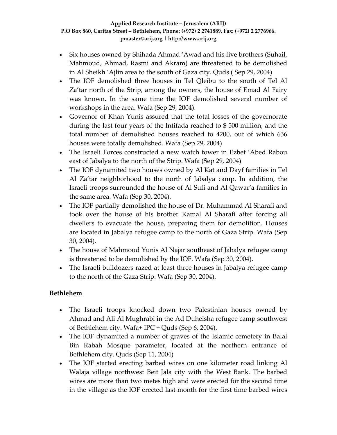- Six houses owned by Shihada Ahmad 'Awad and his five brothers (Suhail, Mahmoud, Ahmad, Rasmi and Akram) are threatened to be demolished in Al Sheikh 'Ajlin area to the south of Gaza city. Quds ( Sep 29, 2004)
- The IOF demolished three houses in Tel Qleibu to the south of Tel Al Za'tar north of the Strip, among the owners, the house of Emad Al Fairy was known. In the same time the IOF demolished several number of workshops in the area. Wafa (Sep 29, 2004).
- Governor of Khan Yunis assured that the total losses of the governorate during the last four years of the Intifada reached to \$ 500 million, and the total number of demolished houses reached to 4200, out of which 636 houses were totally demolished. Wafa (Sep 29, 2004)
- The Israeli Forces constructed a new watch tower in Ezbet 'Abed Rabou east of Jabalya to the north of the Strip. Wafa (Sep 29, 2004)
- The IOF dynamited two houses owned by Al Kat and Dayf families in Tel Al Za'tar neighborhood to the north of Jabalya camp. In addition, the Israeli troops surrounded the house of Al Sufi and Al Qawar'a families in the same area. Wafa (Sep 30, 2004).
- The IOF partially demolished the house of Dr. Muhammad Al Sharafi and took over the house of his brother Kamal Al Sharafi after forcing all dwellers to evacuate the house, preparing them for demolition. Houses are located in Jabalya refugee camp to the north of Gaza Strip. Wafa (Sep 30, 2004).
- The house of Mahmoud Yunis Al Najar southeast of Jabalya refugee camp is threatened to be demolished by the IOF. Wafa (Sep 30, 2004).
- The Israeli bulldozers razed at least three houses in Jabalya refugee camp to the north of the Gaza Strip. Wafa (Sep 30, 2004).

# **Bethlehem**

- The Israeli troops knocked down two Palestinian houses owned by Ahmad and Ali Al Mughrabi in the Ad Duheisha refugee camp southwest of Bethlehem city. Wafa+ IPC + Quds (Sep 6, 2004).
- The IOF dynamited a number of graves of the Islamic cemetery in Balal Bin Rabah Mosque parameter, located at the northern entrance of Bethlehem city. Quds (Sep 11, 2004)
- The IOF started erecting barbed wires on one kilometer road linking Al Walaja village northwest Beit Jala city with the West Bank. The barbed wires are more than two metes high and were erected for the second time in the village as the IOF erected last month for the first time barbed wires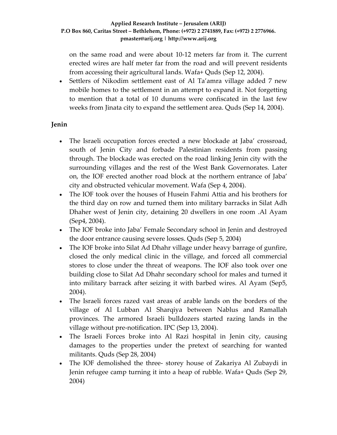on the same road and were about 10‐12 meters far from it. The current erected wires are half meter far from the road and will prevent residents from accessing their agricultural lands. Wafa+ Quds (Sep 12, 2004).

• Settlers of Nikodim settlement east of Al Ta'amra village added 7 new mobile homes to the settlement in an attempt to expand it. Not forgetting to mention that a total of 10 dunums were confiscated in the last few weeks from Jinata city to expand the settlement area. Quds (Sep 14, 2004).

### **Jenin**

- The Israeli occupation forces erected a new blockade at Jaba' crossroad, south of Jenin City and forbade Palestinian residents from passing through. The blockade was erected on the road linking Jenin city with the surrounding villages and the rest of the West Bank Governorates. Later on, the IOF erected another road block at the northern entrance of Jaba' city and obstructed vehicular movement. Wafa (Sep 4, 2004).
- The IOF took over the houses of Husein Fahmi Attia and his brothers for the third day on row and turned them into military barracks in Silat Adh Dhaher west of Jenin city, detaining 20 dwellers in one room .Al Ayam (Sep4, 2004).
- The IOF broke into Jaba' Female Secondary school in Jenin and destroyed the door entrance causing severe losses. Quds (Sep 5, 2004)
- The IOF broke into Silat Ad Dhahr village under heavy barrage of gunfire, closed the only medical clinic in the village, and forced all commercial stores to close under the threat of weapons. The IOF also took over one building close to Silat Ad Dhahr secondary school for males and turned it into military barrack after seizing it with barbed wires. Al Ayam (Sep5, 2004).
- The Israeli forces razed vast areas of arable lands on the borders of the village of Al Lubban Al Sharqiya between Nablus and Ramallah provinces. The armored Israeli bulldozers started razing lands in the village without pre‐notification. IPC (Sep 13, 2004).
- The Israeli Forces broke into Al Razi hospital in Jenin city, causing damages to the properties under the pretext of searching for wanted militants. Quds (Sep 28, 2004)
- The IOF demolished the three-storey house of Zakariya Al Zubaydi in Jenin refugee camp turning it into a heap of rubble. Wafa+ Quds (Sep 29, 2004)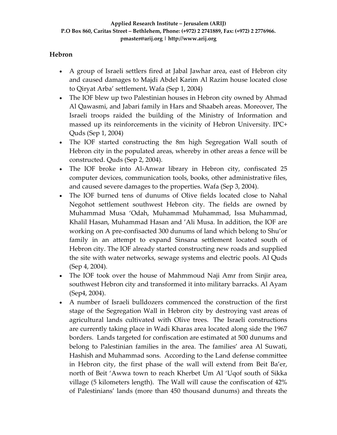## **Hebron**

- A group of Israeli settlers fired at Jabal Jawhar area, east of Hebron city and caused damages to Majdi Abdel Karim Al Razim house located close to Qiryat Arba' settlement**.** Wafa (Sep 1, 2004)
- The IOF blew up two Palestinian houses in Hebron city owned by Ahmad Al Qawasmi, and Jabari family in Hars and Shaabeh areas. Moreover, The Israeli troops raided the building of the Ministry of Information and massed up its reinforcements in the vicinity of Hebron University. IPC+ Quds (Sep 1, 2004)
- The IOF started constructing the 8m high Segregation Wall south of Hebron city in the populated areas, whereby in other areas a fence will be constructed. Quds (Sep 2, 2004).
- The IOF broke into Al-Anwar library in Hebron city, confiscated 25 computer devices, communication tools, books, other administrative files, and caused severe damages to the properties. Wafa (Sep 3, 2004).
- The IOF burned tens of dunums of Olive fields located close to Nahal Negohot settlement southwest Hebron city. The fields are owned by Muhammad Musa 'Odah, Muhammad Muhammad, Issa Muhammad, Khalil Hasan, Muhammad Hasan and 'Ali Musa. In addition, the IOF are working on A pre‐confisacted 300 dunums of land which belong to Shu'or family in an attempt to expand Sinsana settlement located south of Hebron city. The IOF already started constructing new roads and supplied the site with water networks, sewage systems and electric pools. Al Quds (Sep 4, 2004).
- The IOF took over the house of Mahmmoud Naji Amr from Sinjir area, southwest Hebron city and transformed it into military barracks. Al Ayam (Sep4, 2004).
- A number of Israeli bulldozers commenced the construction of the first stage of the Segregation Wall in Hebron city by destroying vast areas of agricultural lands cultivated with Olive trees. The Israeli constructions are currently taking place in Wadi Kharas area located along side the 1967 borders. Lands targeted for confiscation are estimated at 500 dunums and belong to Palestinian families in the area. The families' area Al Suwati, Hashish and Muhammad sons. According to the Land defense committee in Hebron city, the first phase of the wall will extend from Beit Ba'er, north of Beit 'Awwa town to reach Kherbet Um Al 'Uqof south of Sikka village (5 kilometers length). The Wall will cause the confiscation of 42% of Palestinians' lands (more than 450 thousand dunums) and threats the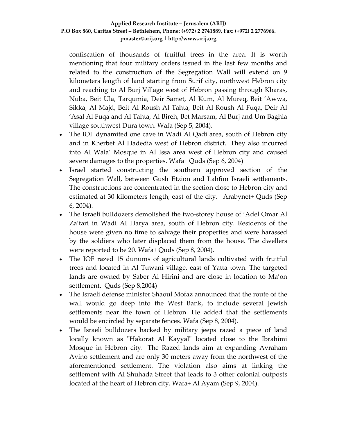confiscation of thousands of fruitful trees in the area. It is worth mentioning that four military orders issued in the last few months and related to the construction of the Segregation Wall will extend on 9 kilometers length of land starting from Surif city, northwest Hebron city and reaching to Al Burj Village west of Hebron passing through Kharas, Nuba, Beit Ula, Tarqumia, Deir Samet, Al Kum, Al Mureq, Beit 'Awwa, Sikka, Al Majd, Beit Al Roush Al Tahta, Beit Al Roush Al Fuqa, Deir Al 'Asal Al Fuqa and Al Tahta, Al Bireh, Bet Marsam, Al Burj and Um Baghla village southwest Dura town. Wafa (Sep 5, 2004).

- The IOF dynamited one cave in Wadi Al Qadi area, south of Hebron city and in Kherbet Al Hadedia west of Hebron district. They also incurred into Al Wala' Mosque in Al Issa area west of Hebron city and caused severe damages to the properties. Wafa+ Quds (Sep 6, 2004)
- Israel started constructing the southern approved section of the Segregation Wall, between Gush Etzion and Lahfim Israeli settlements. The constructions are concentrated in the section close to Hebron city and estimated at 30 kilometers length, east of the city. Arabynet+ Quds (Sep 6, 2004).
- The Israeli bulldozers demolished the two-storey house of 'Adel Omar Al Za'tari in Wadi Al Harya area, south of Hebron city. Residents of the house were given no time to salvage their properties and were harassed by the soldiers who later displaced them from the house. The dwellers were reported to be 20. Wafa+ Quds (Sep 8, 2004).
- The IOF razed 15 dunums of agricultural lands cultivated with fruitful trees and located in Al Tuwani village, east of Yatta town. The targeted lands are owned by Saber Al Hirini and are close in location to Ma'on settlement. Quds (Sep 8,2004)
- The Israeli defense minister Shaoul Mofaz announced that the route of the wall would go deep into the West Bank, to include several Jewish settlements near the town of Hebron. He added that the settlements would be encircled by separate fences. Wafa (Sep 8, 2004).
- The Israeli bulldozers backed by military jeeps razed a piece of land locally known as "Hakorat Al Kayyal" located close to the Ibrahimi Mosque in Hebron city. The Razed lands aim at expanding Avraham Avino settlement and are only 30 meters away from the northwest of the aforementioned settlement. The violation also aims at linking the settlement with Al Shuhada Street that leads to 3 other colonial outposts located at the heart of Hebron city. Wafa+ Al Ayam (Sep 9, 2004).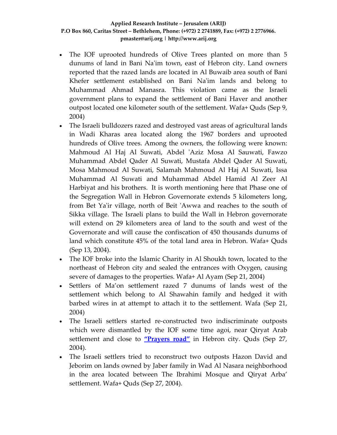- The IOF uprooted hundreds of Olive Trees planted on more than 5 dunums of land in Bani Na'im town, east of Hebron city. Land owners reported that the razed lands are located in Al Buwaib area south of Bani Khefer settlement established on Bani Na'im lands and belong to Muhammad Ahmad Manasra. This violation came as the Israeli government plans to expand the settlement of Bani Haver and another outpost located one kilometer south of the settlement. Wafa+ Quds (Sep 9, 2004)
- The Israeli bulldozers razed and destroyed vast areas of agricultural lands in Wadi Kharas area located along the 1967 borders and uprooted hundreds of Olive trees. Among the owners, the following were known: Mahmoud Al Haj Al Suwati, Abdel ʹAziz Mosa Al Sauwati, Fawzo Muhammad Abdel Qader Al Suwati, Mustafa Abdel Qader Al Suwati, Mosa Mahmoud Al Suwati, Salamah Mahmoud Al Haj Al Suwati, Issa Muhammad Al Suwati and Muhammad Abdel Hamid Al Zeer Al Harbiyat and his brothers. It is worth mentioning here that Phase one of the Segregation Wall in Hebron Governorate extends 5 kilometers long, from Bet Ya'ir village, north of Beit 'Awwa and reaches to the south of Sikka village. The Israeli plans to build the Wall in Hebron governorate will extend on 29 kilometers area of land to the south and west of the Governorate and will cause the confiscation of 450 thousands dunums of land which constitute 45% of the total land area in Hebron. Wafa+ Quds (Sep 13, 2004).
- The IOF broke into the Islamic Charity in Al Shoukh town, located to the northeast of Hebron city and sealed the entrances with Oxygen, causing severe of damages to the properties. Wafa+ Al Ayam (Sep 21, 2004)
- Settlers of Ma'on settlement razed 7 dunums of lands west of the settlement which belong to Al Shawahin family and hedged it with barbed wires in at attempt to attach it to the settlement. Wafa (Sep 21, 2004)
- The Israeli settlers started re-constructed two indiscriminate outposts which were dismantled by the IOF some time agoi, near Qiryat Arab settlement and close to **["Prayers](http://www.poica.org/editor/case_studies/view.php?recordID=436) road"** in Hebron city. Quds (Sep 27, 2004).
- The Israeli settlers tried to reconstruct two outposts Hazon David and Jeborim on lands owned by Jaber family in Wad Al Nasara neighborhood in the area located between The Ibrahimi Mosque and Qiryat Arba' settlement. Wafa+ Quds (Sep 27, 2004).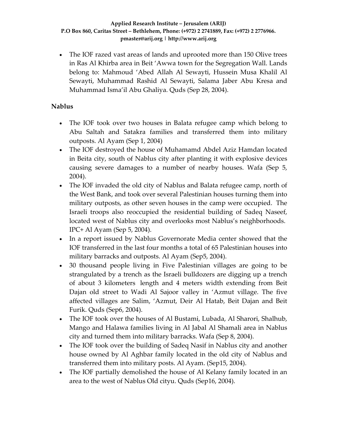• The IOF razed vast areas of lands and uprooted more than 150 Olive trees in Ras Al Khirba area in Beit 'Awwa town for the Segregation Wall. Lands belong to: Mahmoud 'Abed Allah Al Sewayti, Hussein Musa Khalil Al Sewayti, Muhammad Rashid Al Sewayti, Salama Jaber Abu Kresa and Muhammad Isma'il Abu Ghaliya. Quds (Sep 28, 2004).

## **Nablus**

- The IOF took over two houses in Balata refugee camp which belong to Abu Saltah and Satakra families and transferred them into military outposts. Al Ayam (Sep 1, 2004)
- The IOF destroyed the house of Muhamamd Abdel Aziz Hamdan located in Beita city, south of Nablus city after planting it with explosive devices causing severe damages to a number of nearby houses. Wafa (Sep 5, 2004).
- The IOF invaded the old city of Nablus and Balata refugee camp, north of the West Bank, and took over several Palestinian houses turning them into military outposts, as other seven houses in the camp were occupied. The Israeli troops also reoccupied the residential building of Sadeq Naseef, located west of Nablus city and overlooks most Nablus's neighborhoods. IPC+ Al Ayam (Sep 5, 2004).
- In a report issued by Nablus Governorate Media center showed that the IOF transferred in the last four months a total of 65 Palestinian houses into military barracks and outposts. Al Ayam (Sep5, 2004).
- 30 thousand people living in Five Palestinian villages are going to be strangulated by a trench as the Israeli bulldozers are digging up a trench of about 3 kilometers length and 4 meters width extending from Beit Dajan old street to Wadi Al Sajoor valley in 'Azmut village. The five affected villages are Salim, 'Azmut, Deir Al Hatab, Beit Dajan and Beit Furik. Quds (Sep6, 2004).
- The IOF took over the houses of Al Bustami, Lubada, Al Sharori, Shalhub, Mango and Halawa families living in Al Jabal Al Shamali area in Nablus city and turned them into military barracks. Wafa (Sep 8, 2004).
- The IOF took over the building of Sadeq Nasif in Nablus city and another house owned by Al Aghbar family located in the old city of Nablus and transferred them into military posts. Al Ayam. (Sep15, 2004).
- The IOF partially demolished the house of Al Kelany family located in an area to the west of Nablus Old cityu. Quds (Sep16, 2004).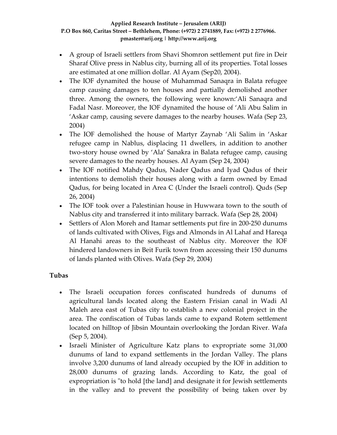- A group of Israeli settlers from Shavi Shomron settlement put fire in Deir Sharaf Olive press in Nablus city, burning all of its properties. Total losses are estimated at one million dollar. Al Ayam (Sep20, 2004).
- The IOF dynamited the house of Muhammad Sanaqra in Balata refugee camp causing damages to ten houses and partially demolished another three. Among the owners, the following were known:'Ali Sanaqra and Fadal Nasr. Moreover, the IOF dynamited the house of 'Ali Abu Salim in 'Askar camp, causing severe damages to the nearby houses. Wafa (Sep 23, 2004)
- The IOF demolished the house of Martyr Zaynab 'Ali Salim in 'Askar refugee camp in Nablus, displacing 11 dwellers, in addition to another two‐story house owned by 'Ala' Sanakra in Balata refugee camp, causing severe damages to the nearby houses. Al Ayam (Sep 24, 2004)
- The IOF notified Mahdy Qadus, Nader Qadus and Iyad Qadus of their intentions to demolish their houses along with a farm owned by Emad Qadus, for being located in Area C (Under the Israeli control). Quds (Sep 26, 2004)
- The IOF took over a Palestinian house in Huwwara town to the south of Nablus city and transferred it into military barrack. Wafa (Sep 28, 2004)
- Settlers of Alon Moreh and Itamar settlements put fire in 200-250 dunums of lands cultivated with Olives, Figs and Almonds in Al Lahaf and Hareqa Al Hanahi areas to the southeast of Nablus city. Moreover the IOF hindered landowners in Beit Furik town from accessing their 150 dunums of lands planted with Olives. Wafa (Sep 29, 2004)

# **Tubas**

- The Israeli occupation forces confiscated hundreds of dunums of agricultural lands located along the Eastern Frisian canal in Wadi Al Maleh area east of Tubas city to establish a new colonial project in the area. The confiscation of Tubas lands came to expand Rotem settlement located on hilltop of Jibsin Mountain overlooking the Jordan River. Wafa (Sep 5, 2004).
- Israeli Minister of Agriculture Katz plans to expropriate some 31,000 dunums of land to expand settlements in the Jordan Valley. The plans involve 3,200 dunums of land already occupied by the IOF in addition to 28,000 dunums of grazing lands. According to Katz, the goal of expropriation is "to hold [the land] and designate it for Jewish settlements in the valley and to prevent the possibility of being taken over by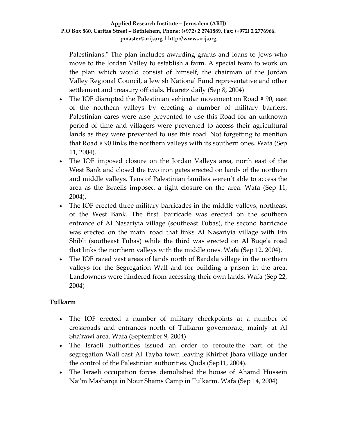Palestinians." The plan includes awarding grants and loans to Jews who move to the Jordan Valley to establish a farm. A special team to work on the plan which would consist of himself, the chairman of the Jordan Valley Regional Council, a Jewish National Fund representative and other settlement and treasury officials. Haaretz daily (Sep 8, 2004)

- The IOF disrupted the Palestinian vehicular movement on Road #90, east of the northern valleys by erecting a number of military barriers. Palestinian cares were also prevented to use this Road for an unknown period of time and villagers were prevented to access their agricultural lands as they were prevented to use this road. Not forgetting to mention that Road # 90 links the northern valleys with its southern ones. Wafa (Sep 11, 2004).
- The IOF imposed closure on the Jordan Valleys area, north east of the West Bank and closed the two iron gates erected on lands of the northern and middle valleys. Tens of Palestinian families weren't able to access the area as the Israelis imposed a tight closure on the area. Wafa (Sep 11, 2004).
- The IOF erected three military barricades in the middle valleys, northeast of the West Bank. The first barricade was erected on the southern entrance of Al Nasariyia village (southeast Tubas), the second barricade was erected on the main road that links Al Nasariyia village with Ein Shibli (southeast Tubas) while the third was erected on Al Buqeʹa road that links the northern valleys with the middle ones. Wafa (Sep 12, 2004).
- The IOF razed vast areas of lands north of Bardala village in the northern valleys for the Segregation Wall and for building a prison in the area. Landowners were hindered from accessing their own lands. Wafa (Sep 22, 2004)

## **Tulkarm**

- The IOF erected a number of military checkpoints at a number of crossroads and entrances north of Tulkarm governorate, mainly at Al Sha'rawi area. Wafa (September 9, 2004)
- The Israeli authorities issued an order to reroute the part of the segregation Wall east Al Tayba town leaving Khirbet Jbara village under the control of the Palestinian authorities. Quds (Sep11, 2004).
- The Israeli occupation forces demolished the house of Ahamd Hussein Naiʹm Masharqa in Nour Shams Camp in Tulkarm. Wafa (Sep 14, 2004)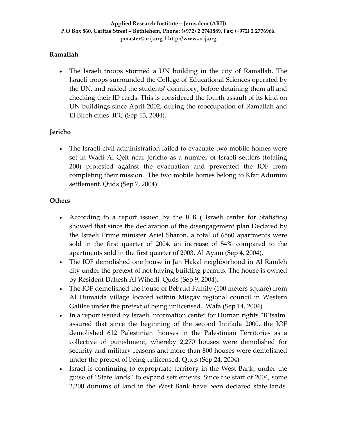## **Ramallah**

• The Israeli troops stormed a UN building in the city of Ramallah. The Israeli troops surrounded the College of Educational Sciences operated by the UN, and raided the studentsʹ dormitory, before detaining them all and checking their ID cards. This is considered the fourth assault of its kind on UN buildings since April 2002, during the reoccupation of Ramallah and El Bireh cities. IPC (Sep 13, 2004).

# **Jericho**

• The Israeli civil administration failed to evacuate two mobile homes were set in Wadi Al Qelt near Jericho as a number of Israeli settlers (totaling 200) protested against the evacuation and prevented the IOF from completing their mission. The two mobile homes belong to Kfar Adumim settlement. Quds (Sep 7, 2004).

## **Others**

- According to a report issued by the ICB ( Israeli center for Statistics) showed that since the declaration of the disengagement plan Declared by the Israeli Prime minister Ariel Sharon, a total of 6560 apartments were sold in the first quarter of 2004, an increase of 54% compared to the apartments sold in the first quarter of 2003. Al Ayam (Sep 4, 2004).
- The IOF demolished one house in Jan Hakal neighborhood in Al Ramleh city under the pretext of not having building permits. The house is owned by Resident Dahesh Al Wihedi. Quds (Sep 9, 2004).
- The IOF demolished the house of Bebrud Family (100 meters square) from Al Dumaida village located within Misgav regional council in Western Galilee under the pretext of being unlicensed. Wafa (Sep 14, 2004)
- In a report issued by Israeli Information center for Human rights "B'tsalm' assured that since the beginning of the second Intifada 2000, the IOF demolished 612 Palestinian houses in the Palestinian Territories as a collective of punishment, whereby 2,270 houses were demolished for security and military reasons and more than 800 houses were demolished under the pretext of being unlicensed. Quds (Sep 24, 2004)
- Israel is continuing to expropriate territory in the West Bank, under the guise of "State lands" to expand settlements. Since the start of 2004, some 2,200 dunums of land in the West Bank have been declared state lands.